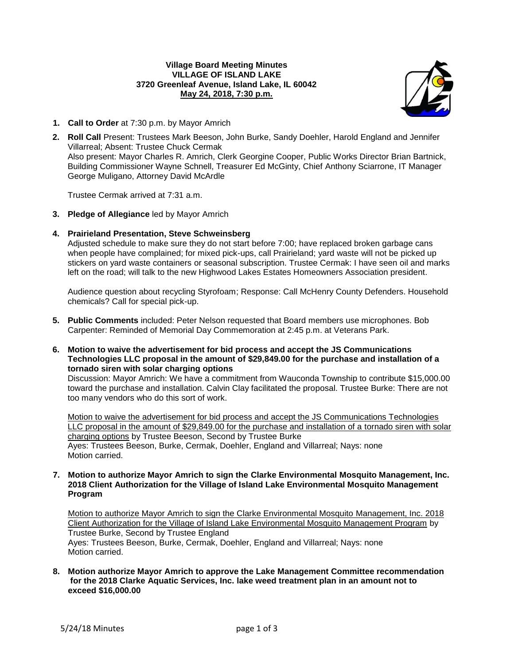## **Village Board Meeting Minutes VILLAGE OF ISLAND LAKE 3720 Greenleaf Avenue, Island Lake, IL 60042 May 24, 2018, 7:30 p.m.**



- **1. Call to Order** at 7:30 p.m. by Mayor Amrich
- **2. Roll Call** Present: Trustees Mark Beeson, John Burke, Sandy Doehler, Harold England and Jennifer Villarreal; Absent: Trustee Chuck Cermak Also present: Mayor Charles R. Amrich, Clerk Georgine Cooper, Public Works Director Brian Bartnick, Building Commissioner Wayne Schnell, Treasurer Ed McGinty, Chief Anthony Sciarrone, IT Manager George Muligano, Attorney David McArdle

Trustee Cermak arrived at 7:31 a.m.

- **3. Pledge of Allegiance** led by Mayor Amrich
- **4. Prairieland Presentation, Steve Schweinsberg**

Adjusted schedule to make sure they do not start before 7:00; have replaced broken garbage cans when people have complained; for mixed pick-ups, call Prairieland; yard waste will not be picked up stickers on yard waste containers or seasonal subscription. Trustee Cermak: I have seen oil and marks left on the road; will talk to the new Highwood Lakes Estates Homeowners Association president.

Audience question about recycling Styrofoam; Response: Call McHenry County Defenders. Household chemicals? Call for special pick-up.

- **5. Public Comments** included: Peter Nelson requested that Board members use microphones. Bob Carpenter: Reminded of Memorial Day Commemoration at 2:45 p.m. at Veterans Park.
- **6. Motion to waive the advertisement for bid process and accept the JS Communications Technologies LLC proposal in the amount of \$29,849.00 for the purchase and installation of a tornado siren with solar charging options**

Discussion: Mayor Amrich: We have a commitment from Wauconda Township to contribute \$15,000.00 toward the purchase and installation. Calvin Clay facilitated the proposal. Trustee Burke: There are not too many vendors who do this sort of work.

Motion to waive the advertisement for bid process and accept the JS Communications Technologies LLC proposal in the amount of \$29,849.00 for the purchase and installation of a tornado siren with solar charging options by Trustee Beeson, Second by Trustee Burke Ayes: Trustees Beeson, Burke, Cermak, Doehler, England and Villarreal; Nays: none Motion carried.

**7. Motion to authorize Mayor Amrich to sign the Clarke Environmental Mosquito Management, Inc. 2018 Client Authorization for the Village of Island Lake Environmental Mosquito Management Program**

Motion to authorize Mayor Amrich to sign the Clarke Environmental Mosquito Management, Inc. 2018 Client Authorization for the Village of Island Lake Environmental Mosquito Management Program by Trustee Burke, Second by Trustee England Ayes: Trustees Beeson, Burke, Cermak, Doehler, England and Villarreal; Nays: none Motion carried.

**8. Motion authorize Mayor Amrich to approve the Lake Management Committee recommendation for the 2018 Clarke Aquatic Services, Inc. lake weed treatment plan in an amount not to exceed \$16,000.00**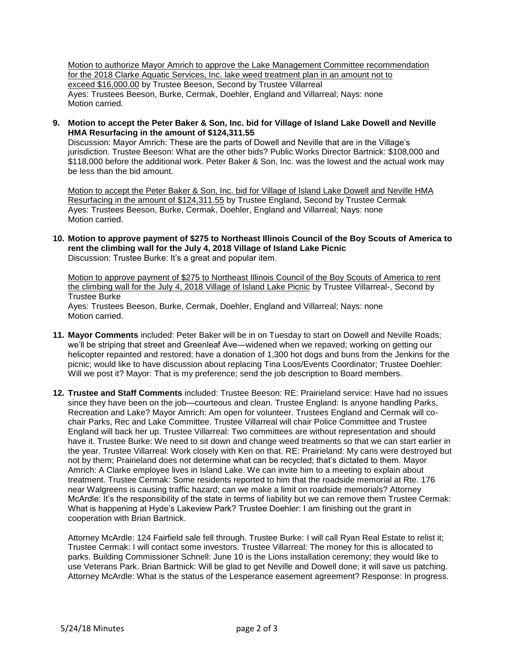Motion to authorize Mayor Amrich to approve the Lake Management Committee recommendation for the 2018 Clarke Aquatic Services, Inc. lake weed treatment plan in an amount not to exceed \$16,000.00 by Trustee Beeson, Second by Trustee Villarreal Ayes: Trustees Beeson, Burke, Cermak, Doehler, England and Villarreal; Nays: none Motion carried.

**9. Motion to accept the Peter Baker & Son, Inc. bid for Village of Island Lake Dowell and Neville HMA Resurfacing in the amount of \$124,311.55**

Discussion: Mayor Amrich: These are the parts of Dowell and Neville that are in the Village's jurisdiction. Trustee Beeson: What are the other bids? Public Works Director Bartnick: \$108,000 and \$118,000 before the additional work. Peter Baker & Son, Inc. was the lowest and the actual work may be less than the bid amount.

Motion to accept the Peter Baker & Son, Inc. bid for Village of Island Lake Dowell and Neville HMA Resurfacing in the amount of \$124,311.55 by Trustee England, Second by Trustee Cermak Ayes: Trustees Beeson, Burke, Cermak, Doehler, England and Villarreal; Nays: none Motion carried.

**10. Motion to approve payment of \$275 to Northeast Illinois Council of the Boy Scouts of America to rent the climbing wall for the July 4, 2018 Village of Island Lake Picnic** Discussion: Trustee Burke: It's a great and popular item.

Motion to approve payment of \$275 to Northeast Illinois Council of the Boy Scouts of America to rent the climbing wall for the July 4, 2018 Village of Island Lake Picnic by Trustee Villarreal-, Second by Trustee Burke Ayes: Trustees Beeson, Burke, Cermak, Doehler, England and Villarreal; Nays: none Motion carried.

- **11. Mayor Comments** included: Peter Baker will be in on Tuesday to start on Dowell and Neville Roads; we'll be striping that street and Greenleaf Ave—widened when we repaved; working on getting our helicopter repainted and restored; have a donation of 1,300 hot dogs and buns from the Jenkins for the picnic; would like to have discussion about replacing Tina Loos/Events Coordinator; Trustee Doehler: Will we post it? Mayor: That is my preference; send the job description to Board members.
- **12. Trustee and Staff Comments** included: Trustee Beeson: RE: Prairieland service: Have had no issues since they have been on the job—courteous and clean. Trustee England: Is anyone handling Parks, Recreation and Lake? Mayor Amrich: Am open for volunteer. Trustees England and Cermak will cochair Parks, Rec and Lake Committee. Trustee Villarreal will chair Police Committee and Trustee England will back her up. Trustee Villarreal: Two committees are without representation and should have it. Trustee Burke: We need to sit down and change weed treatments so that we can start earlier in the year. Trustee Villarreal: Work closely with Ken on that. RE: Prairieland: My cans were destroyed but not by them; Prairieland does not determine what can be recycled; that's dictated to them. Mayor Amrich: A Clarke employee lives in Island Lake. We can invite him to a meeting to explain about treatment. Trustee Cermak: Some residents reported to him that the roadside memorial at Rte. 176 near Walgreens is causing traffic hazard; can we make a limit on roadside memorials? Attorney McArdle: It's the responsibility of the state in terms of liability but we can remove them Trustee Cermak: What is happening at Hyde's Lakeview Park? Trustee Doehler: I am finishing out the grant in cooperation with Brian Bartnick.

Attorney McArdle: 124 Fairfield sale fell through. Trustee Burke: I will call Ryan Real Estate to relist it; Trustee Cermak: I will contact some investors. Trustee Villarreal: The money for this is allocated to parks. Building Commissioner Schnell: June 10 is the Lions installation ceremony; they would like to use Veterans Park. Brian Bartnick: Will be glad to get Neville and Dowell done; it will save us patching. Attorney McArdle: What is the status of the Lesperance easement agreement? Response: In progress.